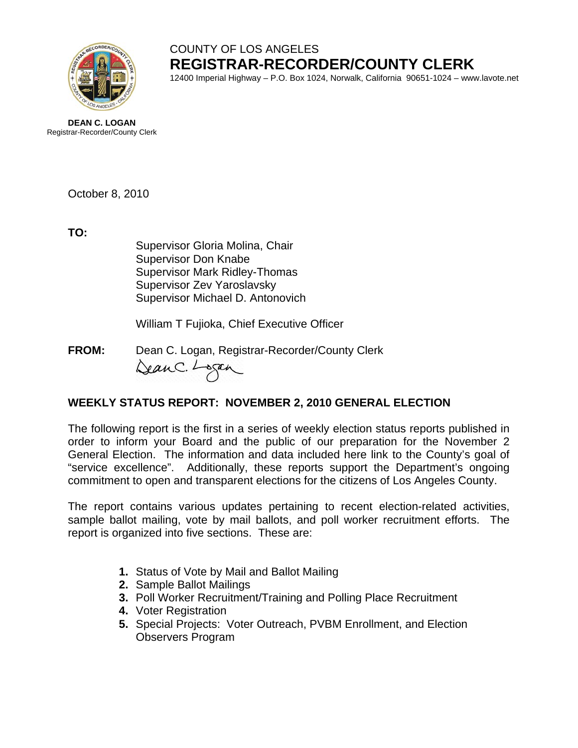

## COUNTY OF LOS ANGELES **REGISTRAR-RECORDER/COUNTY CLERK**

12400 Imperial Highway – P.O. Box 1024, Norwalk, California 90651-1024 – www.lavote.net

**DEAN C. LOGAN** Registrar-Recorder/County Clerk

October 8, 2010

**TO:**

Supervisor Gloria Molina, Chair Supervisor Don Knabe Supervisor Mark Ridley-Thomas Supervisor Zev Yaroslavsky Supervisor Michael D. Antonovich

William T Fujioka, Chief Executive Officer

**FROM:** Dean C. Logan, Registrar-Recorder/County Clerk DeanC. Logan

## **WEEKLY STATUS REPORT: NOVEMBER 2, 2010 GENERAL ELECTION**

The following report is the first in a series of weekly election status reports published in order to inform your Board and the public of our preparation for the November 2 General Election. The information and data included here link to the County's goal of "service excellence". Additionally, these reports support the Department's ongoing commitment to open and transparent elections for the citizens of Los Angeles County.

The report contains various updates pertaining to recent election-related activities, sample ballot mailing, vote by mail ballots, and poll worker recruitment efforts. The report is organized into five sections. These are:

- **1.** Status of Vote by Mail and Ballot Mailing
- **2.** Sample Ballot Mailings
- **3.** Poll Worker Recruitment/Training and Polling Place Recruitment
- **4.** Voter Registration
- **5.** Special Projects: Voter Outreach, PVBM Enrollment, and Election Observers Program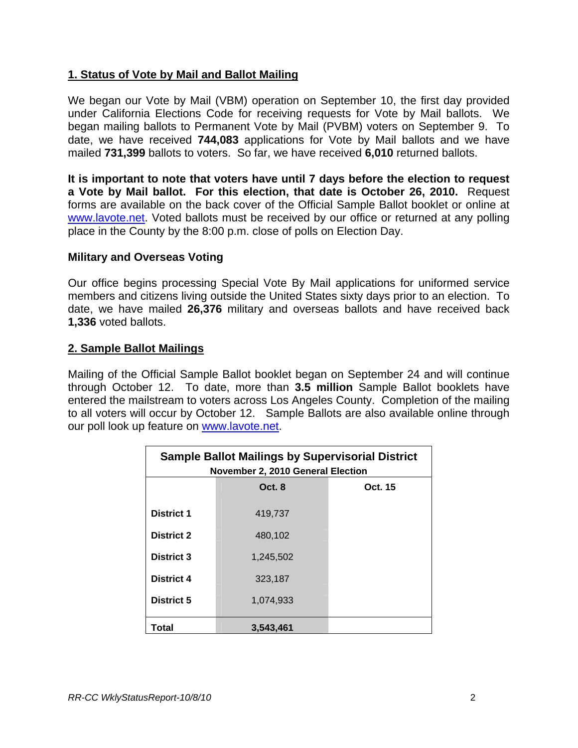### **1. Status of Vote by Mail and Ballot Mailing**

We began our Vote by Mail (VBM) operation on September 10, the first day provided under California Elections Code for receiving requests for Vote by Mail ballots. We began mailing ballots to Permanent Vote by Mail (PVBM) voters on September 9. To date, we have received **744,083** applications for Vote by Mail ballots and we have mailed **731,399** ballots to voters. So far, we have received **6,010** returned ballots.

**It is important to note that voters have until 7 days before the election to request a Vote by Mail ballot. For this election, that date is October 26, 2010.** Request forms are available on the back cover of the Official Sample Ballot booklet or online at [www.lavote.net](http://www.lavote.net/). Voted ballots must be received by our office or returned at any polling place in the County by the 8:00 p.m. close of polls on Election Day.

#### **Military and Overseas Voting**

Our office begins processing Special Vote By Mail applications for uniformed service members and citizens living outside the United States sixty days prior to an election. To date, we have mailed **26,376** military and overseas ballots and have received back **1,336** voted ballots.

#### **2. Sample Ballot Mailings**

Mailing of the Official Sample Ballot booklet began on September 24 and will continue through October 12. To date, more than **3.5 million** Sample Ballot booklets have entered the mailstream to voters across Los Angeles County. Completion of the mailing to all voters will occur by October 12. Sample Ballots are also available online through our poll look up feature on [www.lavote.net](http://www.lavote.net/).

| <b>Sample Ballot Mailings by Supervisorial District</b><br>November 2, 2010 General Election |           |         |  |
|----------------------------------------------------------------------------------------------|-----------|---------|--|
|                                                                                              | Oct. 8    | Oct. 15 |  |
| <b>District 1</b>                                                                            | 419,737   |         |  |
| <b>District 2</b>                                                                            | 480,102   |         |  |
| <b>District 3</b>                                                                            | 1.245.502 |         |  |
| District 4                                                                                   | 323,187   |         |  |
| District 5                                                                                   | 1.074.933 |         |  |
| Total                                                                                        | 3.543.461 |         |  |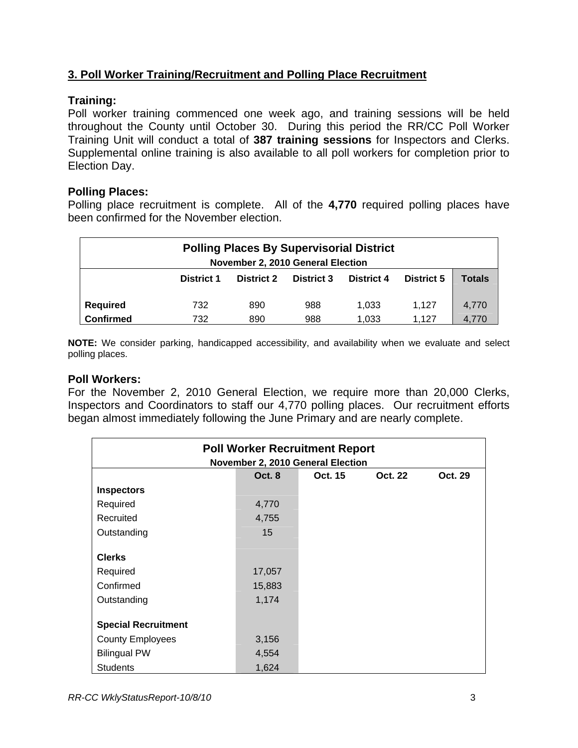## **3. Poll Worker Training/Recruitment and Polling Place Recruitment**

## **Training:**

Poll worker training commenced one week ago, and training sessions will be held throughout the County until October 30. During this period the RR/CC Poll Worker Training Unit will conduct a total of **387 training sessions** for Inspectors and Clerks. Supplemental online training is also available to all poll workers for completion prior to Election Day.

#### **Polling Places:**

Polling place recruitment is complete. All of the **4,770** required polling places have been confirmed for the November election.

| <b>Polling Places By Supervisorial District</b><br>November 2, 2010 General Election |                   |                   |                   |            |                   |               |
|--------------------------------------------------------------------------------------|-------------------|-------------------|-------------------|------------|-------------------|---------------|
|                                                                                      | <b>District 1</b> | <b>District 2</b> | <b>District 3</b> | District 4 | <b>District 5</b> | <b>Totals</b> |
| <b>Required</b>                                                                      | 732               | 890               | 988               | 1.033      | 1.127             | 4.770         |
| <b>Confirmed</b>                                                                     | 732               | 890               | 988               | 1,033      | 1.127             | 4.770         |

**NOTE:** We consider parking, handicapped accessibility, and availability when we evaluate and select polling places.

#### **Poll Workers:**

For the November 2, 2010 General Election, we require more than 20,000 Clerks, Inspectors and Coordinators to staff our 4,770 polling places. Our recruitment efforts began almost immediately following the June Primary and are nearly complete.

| <b>Poll Worker Recruitment Report</b><br>November 2, 2010 General Election |               |         |                |         |
|----------------------------------------------------------------------------|---------------|---------|----------------|---------|
|                                                                            | <b>Oct. 8</b> | Oct. 15 | <b>Oct. 22</b> | Oct. 29 |
| <b>Inspectors</b>                                                          |               |         |                |         |
| Required                                                                   | 4,770         |         |                |         |
| Recruited                                                                  | 4,755         |         |                |         |
| Outstanding                                                                | 15            |         |                |         |
|                                                                            |               |         |                |         |
| <b>Clerks</b>                                                              |               |         |                |         |
| Required                                                                   | 17,057        |         |                |         |
| Confirmed                                                                  | 15,883        |         |                |         |
| Outstanding                                                                | 1,174         |         |                |         |
|                                                                            |               |         |                |         |
| <b>Special Recruitment</b>                                                 |               |         |                |         |
| <b>County Employees</b>                                                    | 3,156         |         |                |         |
| <b>Bilingual PW</b>                                                        | 4,554         |         |                |         |
| <b>Students</b>                                                            | 1,624         |         |                |         |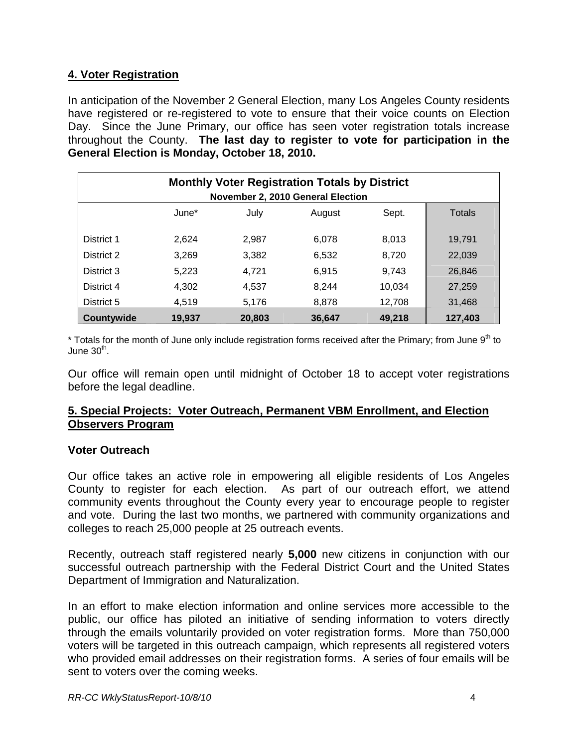## **4. Voter Registration**

In anticipation of the November 2 General Election, many Los Angeles County residents have registered or re-registered to vote to ensure that their voice counts on Election Day. Since the June Primary, our office has seen voter registration totals increase throughout the County. **The last day to register to vote for participation in the General Election is Monday, October 18, 2010.** 

| <b>Monthly Voter Registration Totals by District</b><br>November 2, 2010 General Election |        |        |        |        |               |
|-------------------------------------------------------------------------------------------|--------|--------|--------|--------|---------------|
|                                                                                           | June*  | July   | August | Sept.  | <b>Totals</b> |
| District 1                                                                                | 2.624  | 2.987  | 6,078  | 8,013  | 19,791        |
| District 2                                                                                | 3,269  | 3,382  | 6,532  | 8,720  | 22,039        |
| District 3                                                                                | 5,223  | 4,721  | 6,915  | 9,743  | 26,846        |
| District 4                                                                                | 4,302  | 4,537  | 8,244  | 10,034 | 27,259        |
| District 5                                                                                | 4,519  | 5,176  | 8,878  | 12,708 | 31,468        |
| Countywide                                                                                | 19,937 | 20,803 | 36.647 | 49,218 | 127,403       |

 $*$  Totals for the month of June only include registration forms received after the Primary; from June 9<sup>th</sup> to June  $30<sup>th</sup>$ .

Our office will remain open until midnight of October 18 to accept voter registrations before the legal deadline.

#### **5. Special Projects: Voter Outreach, Permanent VBM Enrollment, and Election Observers Program**

#### **Voter Outreach**

Our office takes an active role in empowering all eligible residents of Los Angeles County to register for each election. As part of our outreach effort, we attend community events throughout the County every year to encourage people to register and vote. During the last two months, we partnered with community organizations and colleges to reach 25,000 people at 25 outreach events.

Recently, outreach staff registered nearly **5,000** new citizens in conjunction with our successful outreach partnership with the Federal District Court and the United States Department of Immigration and Naturalization.

In an effort to make election information and online services more accessible to the public, our office has piloted an initiative of sending information to voters directly through the emails voluntarily provided on voter registration forms. More than 750,000 voters will be targeted in this outreach campaign, which represents all registered voters who provided email addresses on their registration forms. A series of four emails will be sent to voters over the coming weeks.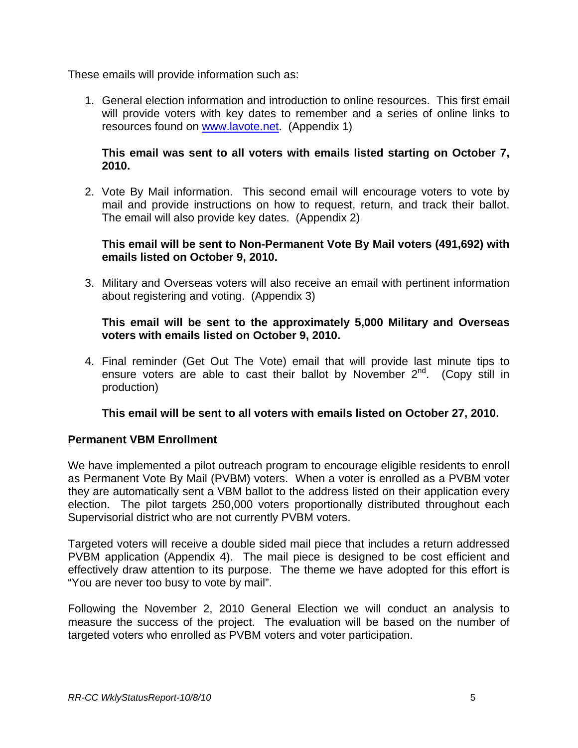These emails will provide information such as:

1. General election information and introduction to online resources. This first email will provide voters with key dates to remember and a series of online links to resources found on [www.lavote.net](http://www.lavote.net/). (Appendix 1)

#### **This email was sent to all voters with emails listed starting on October 7, 2010.**

2. Vote By Mail information. This second email will encourage voters to vote by mail and provide instructions on how to request, return, and track their ballot. The email will also provide key dates. (Appendix 2)

#### **This email will be sent to Non-Permanent Vote By Mail voters (491,692) with emails listed on October 9, 2010.**

3. Military and Overseas voters will also receive an email with pertinent information about registering and voting. (Appendix 3)

#### **This email will be sent to the approximately 5,000 Military and Overseas voters with emails listed on October 9, 2010.**

4. Final reminder (Get Out The Vote) email that will provide last minute tips to ensure voters are able to cast their ballot by November  $2^{nd}$ . (Copy still in production)

#### **This email will be sent to all voters with emails listed on October 27, 2010.**

#### **Permanent VBM Enrollment**

We have implemented a pilot outreach program to encourage eligible residents to enroll as Permanent Vote By Mail (PVBM) voters. When a voter is enrolled as a PVBM voter they are automatically sent a VBM ballot to the address listed on their application every election. The pilot targets 250,000 voters proportionally distributed throughout each Supervisorial district who are not currently PVBM voters.

Targeted voters will receive a double sided mail piece that includes a return addressed PVBM application (Appendix 4). The mail piece is designed to be cost efficient and effectively draw attention to its purpose. The theme we have adopted for this effort is "You are never too busy to vote by mail".

Following the November 2, 2010 General Election we will conduct an analysis to measure the success of the project. The evaluation will be based on the number of targeted voters who enrolled as PVBM voters and voter participation.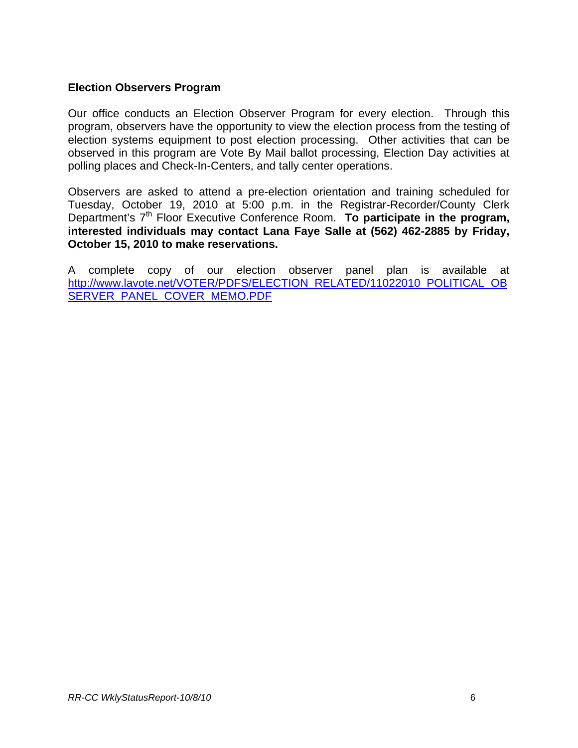#### **Election Observers Program**

Our office conducts an Election Observer Program for every election. Through this program, observers have the opportunity to view the election process from the testing of election systems equipment to post election processing. Other activities that can be observed in this program are Vote By Mail ballot processing, Election Day activities at polling places and Check-In-Centers, and tally center operations.

Observers are asked to attend a pre-election orientation and training scheduled for Tuesday, October 19, 2010 at 5:00 p.m. in the Registrar-Recorder/County Clerk Department's 7<sup>th</sup> Floor Executive Conference Room. **To participate in the program, interested individuals may contact Lana Faye Salle at (562) 462-2885 by Friday, October 15, 2010 to make reservations.** 

A complete copy of our election observer panel plan is available at [http://www.lavote.net/VOTER/PDFS/ELECTION\\_RELATED/11022010\\_POLITICAL\\_OB](http://www.lavote.net/VOTER/PDFS/ELECTION_RELATED/11022010_POLITICAL_OBSERVER_PANEL_COVER_MEMO.PDF) [SERVER\\_PANEL\\_COVER\\_MEMO.PDF](http://www.lavote.net/VOTER/PDFS/ELECTION_RELATED/11022010_POLITICAL_OBSERVER_PANEL_COVER_MEMO.PDF)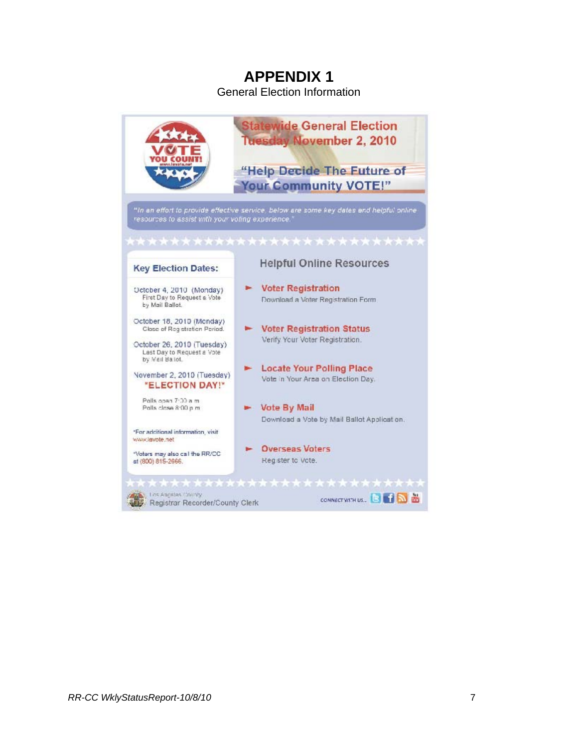General Election Information

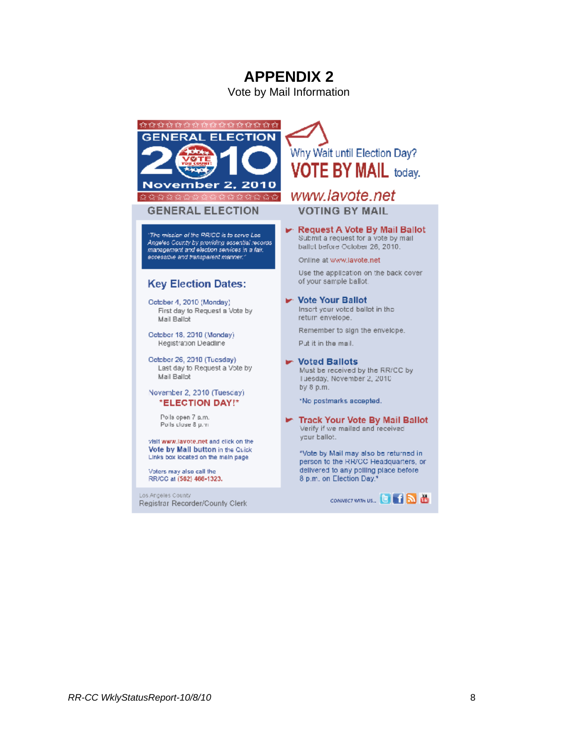Vote by Mail Information



#### **GENERAL ELECTION**

The mission of the RR/CC is to serve Los. Angeles County by providing essential records<br>management and election services in a fair. eccessible and transparent manner."

#### **Key Election Dates:**

October 4, 2010 (Monday) First day to Request a Vote by Mail Ballot

Cetober 18, 2010 (Monday) Registration Deadline

October 26, 2010 (Tuesday) Last day to Request a Vote by Mail Ballot

#### November 2, 2010 (Tuesday) \*ELECTION DAY!\*

Polls open 7 a.m. Polls close 8 p.m.

visit www.lavote.net and click on the Vote by Mall button in the Quick Links box located on the main page.

Voters may also call the RR/CC at (562) 466-1323.

Los Angeles County Registrar Recorder/County Clerk

# Why Wait until Election Day? **VOTE BY MAIL today.**

## www.lavote.net **VOTING BY MAIL**

► Request A Vote By Mail Ballot<br>Submit a request for a vote by mail ballot before October 26, 2010.

Online at www.lavote.net

Use the application on the back cover of your sample ballot.

► Vote Your Ballot Insert your voted ballot in the return envelope.

Remember to sign the envelope. Put it in the mail.

**De Voted Ballots** Must be received by the RR/CC by Luesday, November 2, 2010 by 8 p.m.

\*No postmarks accepted.

Track Your Vote By Mail Ballot Verify if we mailed and received your ballot.

\*Vote by Mail may also be returned in person to the RR/CC Headquarters, or delivered to any polling place before. 8 p.m. on Election Day.'

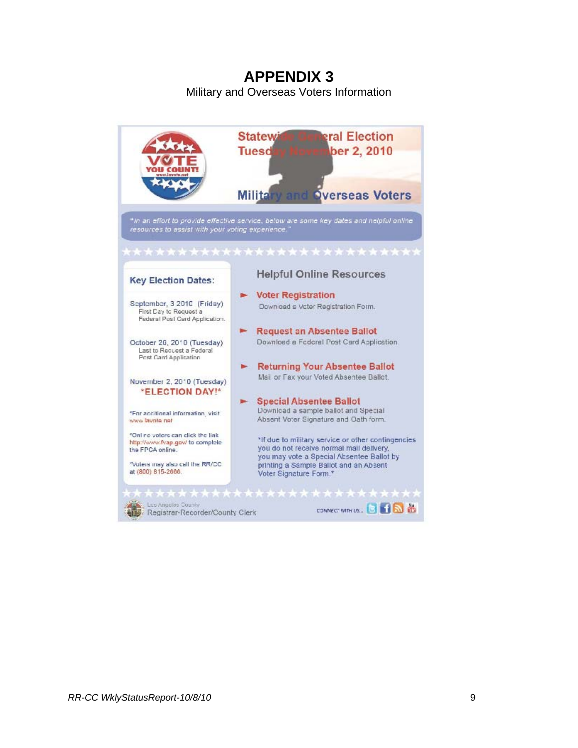Military and Overseas Voters Information

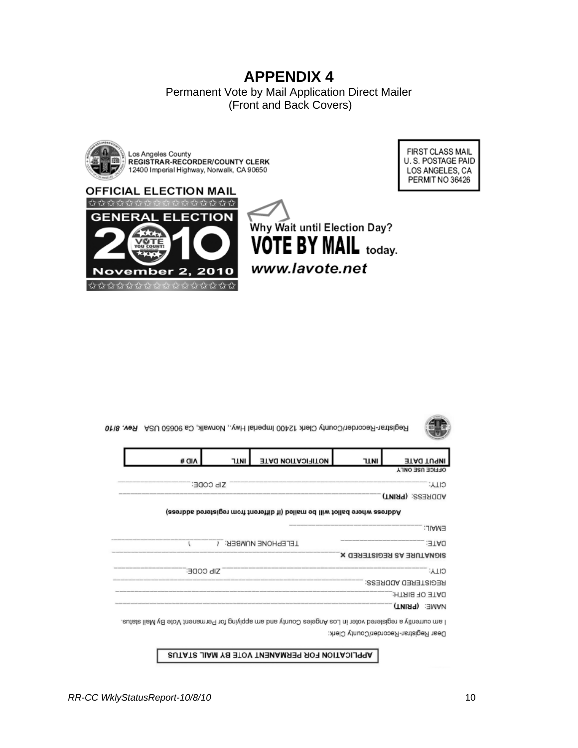Permanent Vote by Mail Application Direct Mailer (Front and Back Covers)



FIRST CLASS MAIL U.S. POSTAGE PAID LOS ANGELES, CA PERMIT NO 36426





APPLICATION FOR PERMANENT VOTE BY MAIL STATUS